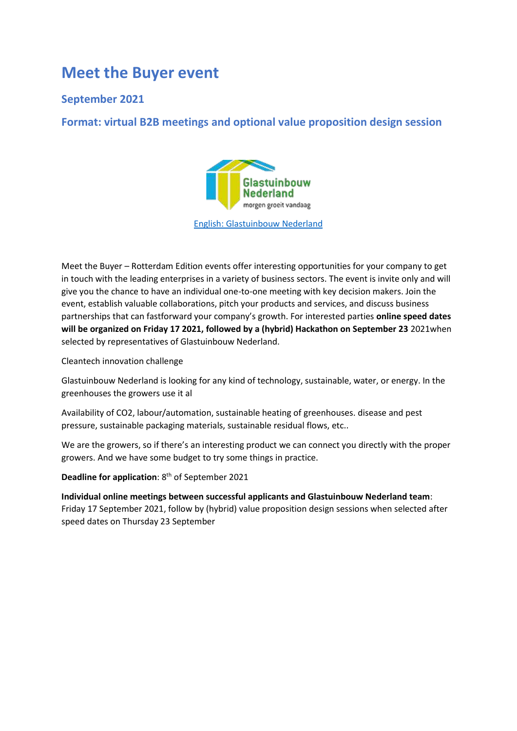## **Meet the Buyer event**

### **September 2021**

**Format: virtual B2B meetings and optional value proposition design session**



[English: Glastuinbouw Nederland](https://www.glastuinbouwnederland.nl/english/)

Meet the Buyer – Rotterdam Edition events offer interesting opportunities for your company to get in touch with the leading enterprises in a variety of business sectors. The event is invite only and will give you the chance to have an individual one-to-one meeting with key decision makers. Join the event, establish valuable collaborations, pitch your products and services, and discuss business partnerships that can fastforward your company's growth. For interested parties **online speed dates will be organized on Friday 17 2021, followed by a (hybrid) Hackathon on September 23** 2021when selected by representatives of Glastuinbouw Nederland.

Cleantech innovation challenge

Glastuinbouw Nederland is looking for any kind of technology, sustainable, water, or energy. In the greenhouses the growers use it al

Availability of CO2, labour/automation, sustainable heating of greenhouses. disease and pest pressure, sustainable packaging materials, sustainable residual flows, etc..

We are the growers, so if there's an interesting product we can connect you directly with the proper growers. And we have some budget to try some things in practice.

**Deadline for application:** 8<sup>th</sup> of September 2021

**Individual online meetings between successful applicants and Glastuinbouw Nederland team**: Friday 17 September 2021, follow by (hybrid) value proposition design sessions when selected after speed dates on Thursday 23 September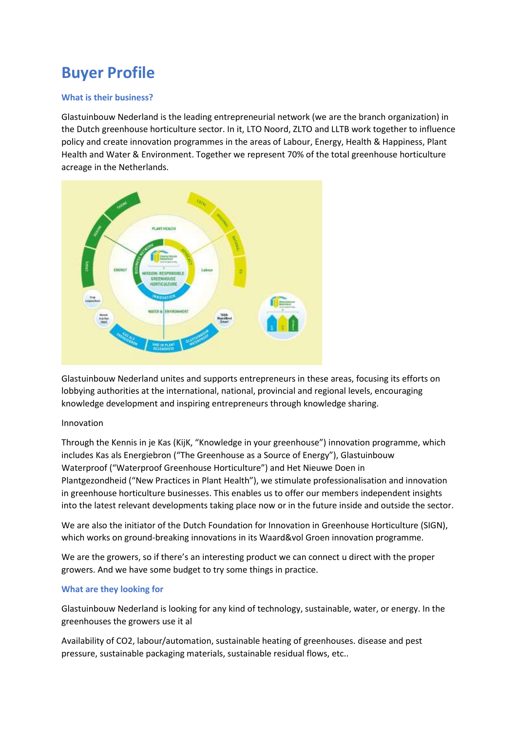# **Buyer Profile**

#### **What is their business?**

Glastuinbouw Nederland is the leading entrepreneurial network (we are the branch organization) in the Dutch greenhouse horticulture sector. In it, [LTO Noord,](http://www.ltonoord.nl/) [ZLTO](http://www.zlto.nl/) and [LLTB](http://www.lltb.nl/) work together to influence policy and create innovation programmes in the areas of [Labour,](https://www.glastuinbouwnederland.nl/arbeid/) [Energy,](https://www.glastuinbouwnederland.nl/thema/energie/) [Health & Happiness,](https://www.glastuinbouwnederland.nl/gezondheid-geluk/) [Plant](https://www.glastuinbouwnederland.nl/thema/plantgezondheid/)  [Health](https://www.glastuinbouwnederland.nl/thema/plantgezondheid/) and [Water & Environment.](https://www.glastuinbouwnederland.nl/water-omgeving/) Together we represent 70% of the total greenhouse horticulture acreage in the Netherlands.



Glastuinbouw Nederland unites and supports entrepreneurs in these areas, focusing its efforts on lobbying authorities at the international, national, provincial and regional levels, encouraging knowledge development and inspiring entrepreneurs through knowledge sharing.

#### Innovation

Through the [Kennis in je Kas](https://www.kennisinjekas.nl/) (KijK, "Knowledge in your greenhouse") innovation programme, which includes [Kas als Energiebron](http://www.kasalsenergiebron.nl/) ("The Greenhouse as a Source of Energy"), [Glastuinbouw](http://www.glastuinbouwwaterproof.nl/)  [Waterproof](http://www.glastuinbouwwaterproof.nl/) ("Waterproof Greenhouse Horticulture") and [Het Nieuwe Doen in](https://www.glastuinbouwnederland.nl/thema/plantgezondheid/onderzoek/)  [Plantgezondheid](https://www.glastuinbouwnederland.nl/thema/plantgezondheid/onderzoek/) ("New Practices in Plant Health"), we stimulate professionalisation and innovation in greenhouse horticulture businesses. This enables us to offer our members independent insights into the latest relevant developments taking place now or in the future inside and outside the sector.

We are also the initiator of the [Dutch Foundation for Innovation in Greenhouse Horticulture \(SIGN\),](https://www.glastuinbouwnederland.nl/sign/) which works on ground-breaking innovations in its Waard&vol Groen innovation programme.

We are the growers, so if there's an interesting product we can connect u direct with the proper growers. And we have some budget to try some things in practice.

#### **What are they looking for**

Glastuinbouw Nederland is looking for any kind of technology, sustainable, water, or energy. In the greenhouses the growers use it al

Availability of CO2, labour/automation, sustainable heating of greenhouses. disease and pest pressure, sustainable packaging materials, sustainable residual flows, etc..